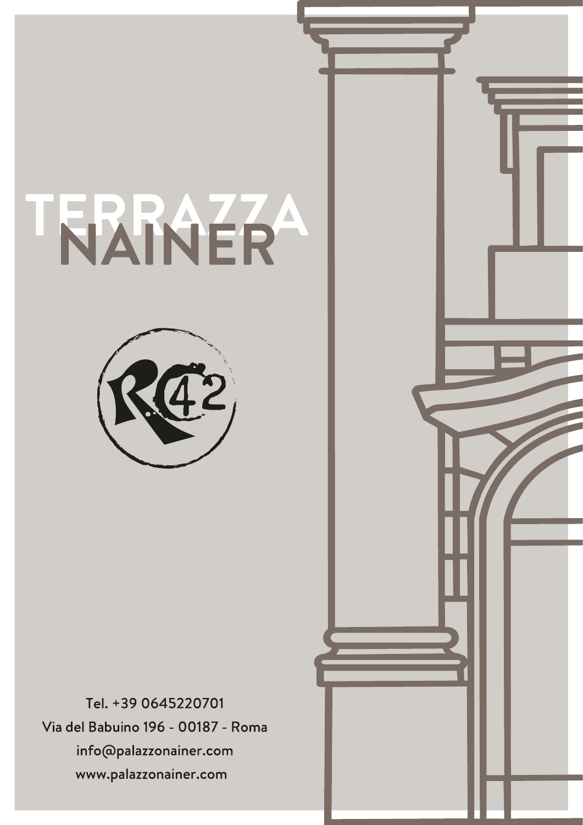# TERRAZZA



Tel. +39 0645220701 Via del Babuino 196 - 00187 - Roma info@palazzonainer.com www.palazzonainer.com

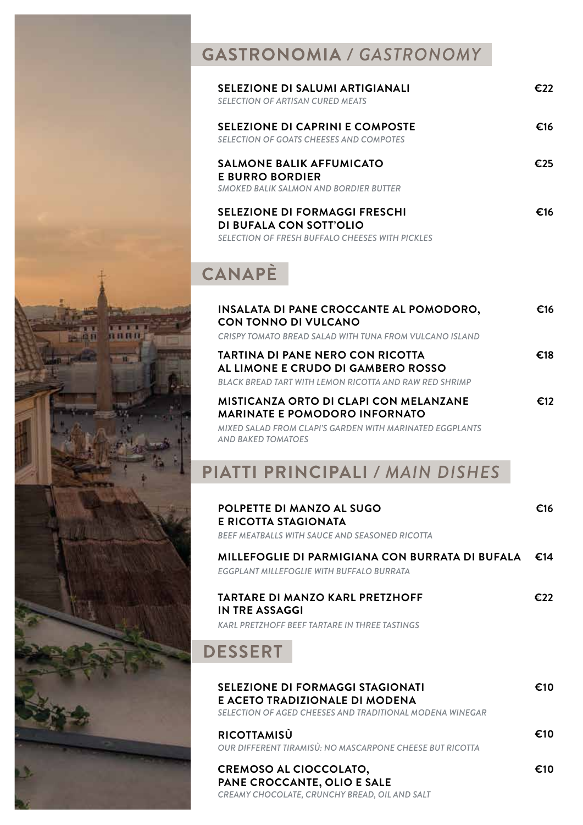

| SELEZIONE DI SALUMI ARTIGIANALI<br>SELECTION OF ARTISAN CURED MEATS                                                       | €77 |
|---------------------------------------------------------------------------------------------------------------------------|-----|
| SELEZIONE DI CAPRINI E COMPOSTE<br>SELECTION OF GOATS CHEESES AND COMPOTES                                                | €16 |
| SALMONE BALIK AFFUMICATO<br><b>E BURRO BORDIER</b><br>SMOKED BALIK SALMON AND BORDIER BUTTER                              | €25 |
| <b>SELEZIONE DI FORMAGGI FRESCHI</b><br>DI BUFALA CON SOTT'OLIO<br><b>SELECTION OF FRESH BUFFALO CHEESES WITH PICKLES</b> | €16 |

# CANAPÈ

 $\overline{\mathbf{H}}$  is  $\overline{\mathbf{H}}$ 

| INSALATA DI PANE CROCCANTE AL POMODORO,<br>CON TONNO DI VULCANO<br>CRISPY TOMATO BREAD SALAD WITH TUNA FROM VULCANO ISLAND                                                     | €16 |
|--------------------------------------------------------------------------------------------------------------------------------------------------------------------------------|-----|
| TARTINA DI PANE NERO CON RICOTTA<br>AL LIMONE E CRUDO DI GAMBERO ROSSO<br>BLACK BREAD TART WITH LEMON RICOTTA AND RAW RED SHRIMP                                               | €18 |
| <b>MISTICANZA ORTO DI CLAPI CON MELANZANE</b><br><b>MARINATE E POMODORO INFORNATO</b><br>MIXED SALAD FROM CLAPI'S GARDEN WITH MARINATED EGGPLANTS<br><b>AND BAKED TOMATOES</b> | €12 |
| PIATTI PRINCIPALI / MAIN DISHES                                                                                                                                                |     |
| <b>POLPETTE DI MANZO AL SUGO</b><br>E RICOTTA STAGIONATA<br>BEEF MEATBALLS WITH SAUCE AND SEASONED RICOTTA                                                                     | €16 |

| MILLEFOGLIE DI PARMIGIANA CON BURRATA DI BUFALA | €14 |
|-------------------------------------------------|-----|
| EGGPLANT MILLEFOGLIE WITH BUFFALO BURRATA       |     |
| TARTARE DI MANZO KARL PRETZHOFF                 | €22 |

#### **TARTARE DI MANZO KARL PRETZ IN TRE ASSAGGI**

*KARL PRETZHOFF BEEF TARTARE IN THREE TASTINGS*

#### **DESSERT**

| <b>SELEZIONE DI FORMAGGI STAGIONATI</b><br>E ACETO TRADIZIONALE DI MODENA<br>SELECTION OF AGED CHEESES AND TRADITIONAL MODENA WINEGAR | €10 |
|---------------------------------------------------------------------------------------------------------------------------------------|-----|
| <b>RICOTTAMISÙ</b><br>OUR DIFFERENT TIRAMISU: NO MASCARPONE CHEESE BUT RICOTTA                                                        | €10 |
| <b>CREMOSO AL CIOCCOLATO,</b><br>PANE CROCCANTE, OLIO E SALE<br>CREAMY CHOCOLATE, CRUNCHY BREAD, OIL AND SALT                         | €10 |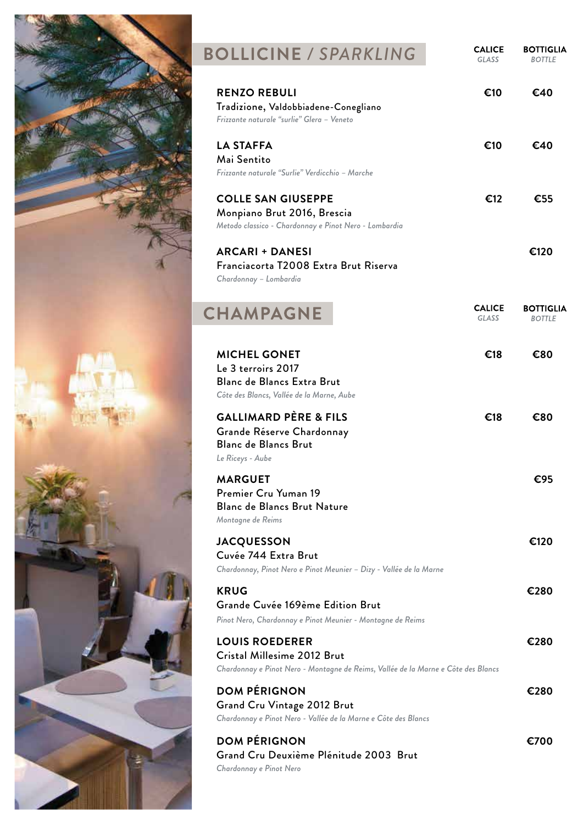

## **BOLLICINE** */ SPARKLING*

**CALICE**<br>GLASS  $\begin{array}{c} \textbf{BOTTIGLIA} \\ \textbf{\textit{BOTILE}} \end{array}$ 

| <b>RENZO REBULI</b><br>Tradizione, Valdobbiadene-Conegliano<br>Frizzante naturale "surlie" Glera - Veneto                                 | €10                           | €40                               |
|-------------------------------------------------------------------------------------------------------------------------------------------|-------------------------------|-----------------------------------|
| <b>LA STAFFA</b><br>Mai Sentito<br>Frizzante naturale "Surlie" Verdicchio - Marche                                                        | €10                           | €40                               |
| <b>COLLE SAN GIUSEPPE</b><br>Monpiano Brut 2016, Brescia<br>Metodo classico - Chardonnay e Pinot Nero - Lombardia                         | €12                           | €55                               |
| <b>ARCARI + DANESI</b><br>Franciacorta T2008 Extra Brut Riserva<br>Chardonnay - Lombardia                                                 |                               | €120                              |
| <b>CHAMPAGNE</b>                                                                                                                          | <b>CALICE</b><br><b>GLASS</b> | <b>BOTTIGLIA</b><br><b>BOTTLE</b> |
| <b>MICHEL GONET</b><br>Le 3 terroirs 2017<br><b>Blanc de Blancs Extra Brut</b><br>Côte des Blancs, Vallée de la Marne, Aube               | €18                           | €80                               |
| <b>GALLIMARD PÈRE &amp; FILS</b><br>Grande Réserve Chardonnay<br><b>Blanc de Blancs Brut</b><br>Le Riceys - Aube                          | €18                           | €80                               |
| <b>MARGUET</b><br>Premier Cru Yuman 19<br>Blanc de Blancs Brut Nature<br>Montagne de Reims                                                |                               | €95                               |
| <b>JACQUESSON</b><br>Cuvée 744 Extra Brut<br>Chardonnay, Pinot Nero e Pinot Meunier - Dizy - Vallée de la Marne                           |                               | €120                              |
| <b>KRUG</b><br>Grande Cuvée 169ème Edition Brut<br>Pinot Nero, Chardonnay e Pinot Meunier - Montagne de Reims                             |                               | €280                              |
| <b>LOUIS ROEDERER</b><br>Cristal Millesime 2012 Brut<br>Chardonnay e Pinot Nero - Montagne de Reims, Vallée de la Marne e Côte des Blancs |                               | €280                              |
| <b>DOM PÉRIGNON</b><br><b>Grand Cru Vintage 2012 Brut</b><br>Chardonnay e Pinot Nero - Vallée de la Marne e Côte des Blancs               |                               | €280                              |
| <b>DOM PÉRIGNON</b><br>Grand Cru Deuxième Plénitude 2003 Brut<br>Chardonnay e Pinot Nero                                                  |                               | €700                              |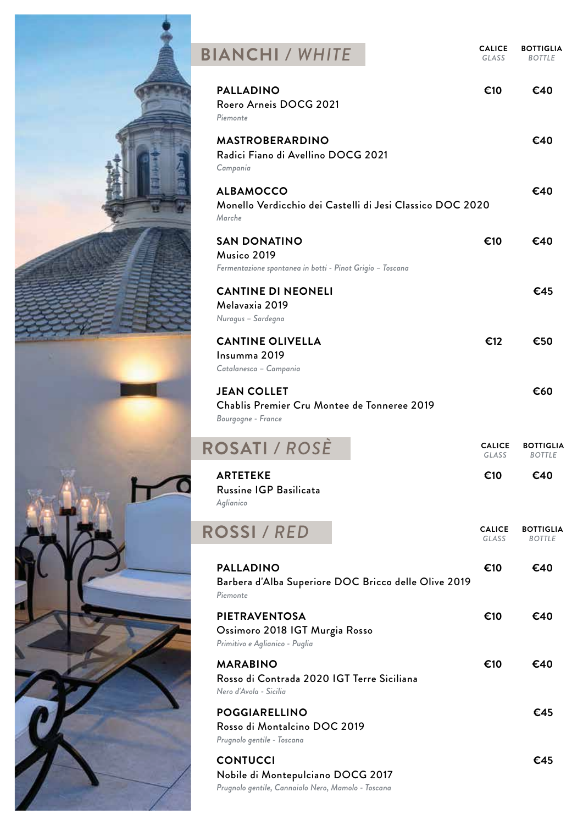| <b>BIANCHI / WHITE</b>                                                                                     | <b>CALICE</b><br>GLASS | <b>BOTTIGLIA</b><br><b>BOTTLE</b> |
|------------------------------------------------------------------------------------------------------------|------------------------|-----------------------------------|
| <b>PALLADINO</b><br>Roero Arneis DOCG 2021<br>Piemonte                                                     | €10                    | €40                               |
| <b>MASTROBERARDINO</b><br>Radici Fiano di Avellino DOCG 2021<br>Campania                                   |                        | €40                               |
| <b>ALBAMOCCO</b><br>Monello Verdicchio dei Castelli di Jesi Classico DOC 2020<br>Marche                    |                        | €40                               |
| <b>SAN DONATINO</b><br>Musico 2019<br>Fermentazione spontanea in botti - Pinot Grigio - Toscana            | €10                    | €40                               |
| <b>CANTINE DI NEONELI</b><br>Melavaxia 2019<br>Nuragus - Sardegna                                          |                        | €45                               |
| <b>CANTINE OLIVELLA</b><br>Insumma 2019<br>Catalanesca - Campania                                          | €12                    | €50                               |
| <b>JEAN COLLET</b><br>Chablis Premier Cru Montee de Tonneree 2019<br>Bourgogne - France                    |                        | €60                               |
| <b>ROSATI / ROSE</b>                                                                                       | <b>CALICE</b><br>GLASS | <b>BOTTIGLIA</b><br><b>BOTTLE</b> |
| <b>ARTETEKE</b><br>Russine IGP Basilicata<br>Aglianico                                                     | €10                    | €40                               |
| <b>ROSSI / RED</b>                                                                                         | <b>CALICE</b><br>GLASS | <b>BOTTIGLIA</b><br><b>BOTTLE</b> |
| <b>PALLADINO</b><br>Barbera d'Alba Superiore DOC Bricco delle Olive 2019<br>Piemonte                       | €10                    | €40                               |
| <b>PIETRAVENTOSA</b><br>Ossimoro 2018 IGT Murgia Rosso<br>Primitivo e Aglianico - Puglia                   | €10                    | €40                               |
| <b>MARABINO</b><br>Rosso di Contrada 2020 IGT Terre Siciliana<br>Nero d'Avola - Sicilia                    | €10                    | €40                               |
| <b>POGGIARELLINO</b><br>Rosso di Montalcino DOC 2019<br>Prugnolo gentile - Toscana                         |                        | €45                               |
| <b>CONTUCCI</b><br>Nobile di Montepulciano DOCG 2017<br>Prugnolo gentile, Cannaiolo Nero, Mamolo - Toscana |                        | €45                               |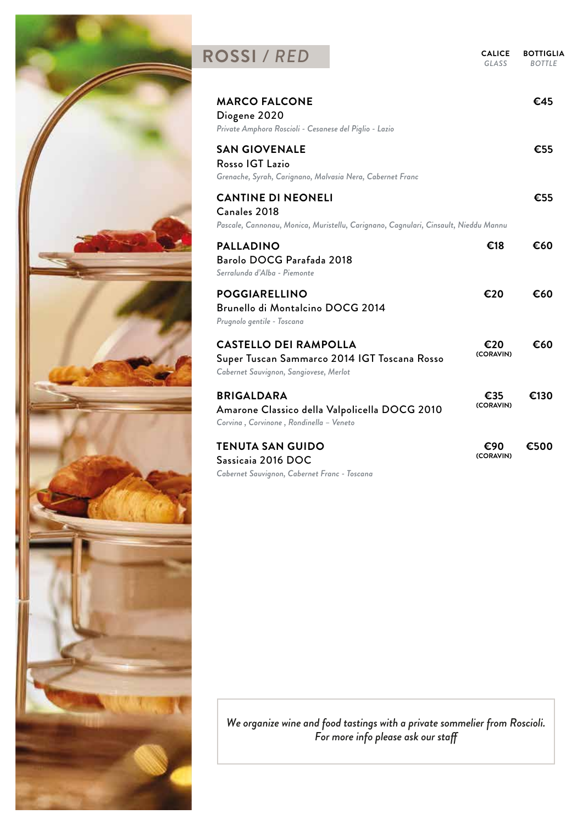

### **ROSSI** / RED **CALICE**

*GLASS* **BOTTIGLIA**

| GLASS<br><b>BOTTLE</b> |  |
|------------------------|--|

| <b>MARCO FALCONE</b><br>Diogene 2020<br>Private Amphora Roscioli - Cesanese del Piglio - Lazio       |                                                                                     |                  | €45  |
|------------------------------------------------------------------------------------------------------|-------------------------------------------------------------------------------------|------------------|------|
| <b>SAN GIOVENALE</b><br>Rosso IGT Lazio<br>Grenache, Syrah, Carignano, Malvasia Nera, Cabernet Franc |                                                                                     |                  | €55  |
| <b>CANTINE DI NEONELI</b><br>Canales 2018                                                            | Pascale, Cannonau, Monica, Muristellu, Carignano, Cagnulari, Cinsault, Nieddu Mannu |                  | €55  |
| <b>PALLADINO</b><br>Barolo DOCG Parafada 2018<br>Serralunda d'Alba - Piemonte                        |                                                                                     | €18              | €60  |
| <b>POGGIARELLINO</b><br>Brunello di Montalcino DOCG 2014<br>Prugnolo gentile - Toscana               |                                                                                     | €20              | €60  |
| <b>CASTELLO DEI RAMPOLLA</b><br>Cabernet Sauvignon, Sangiovese, Merlot                               | Super Tuscan Sammarco 2014 IGT Toscana Rosso                                        | €20<br>(CORAVIN) | €60  |
| <b>BRIGALDARA</b><br>Corvina, Corvinone, Rondinella - Veneto                                         | Amarone Classico della Valpolicella DOCG 2010                                       | €35<br>(CORAVIN) | €130 |
| <b>TENUTA SAN GUIDO</b><br>Sassicaia 2016 DOC<br>Cabernet Sauvignon, Cabernet Franc - Toscana        |                                                                                     | €90<br>(CORAVIN) | €500 |

*We organize wine and food tastings with a private sommelier from Roscioli. For more info please ask our sta*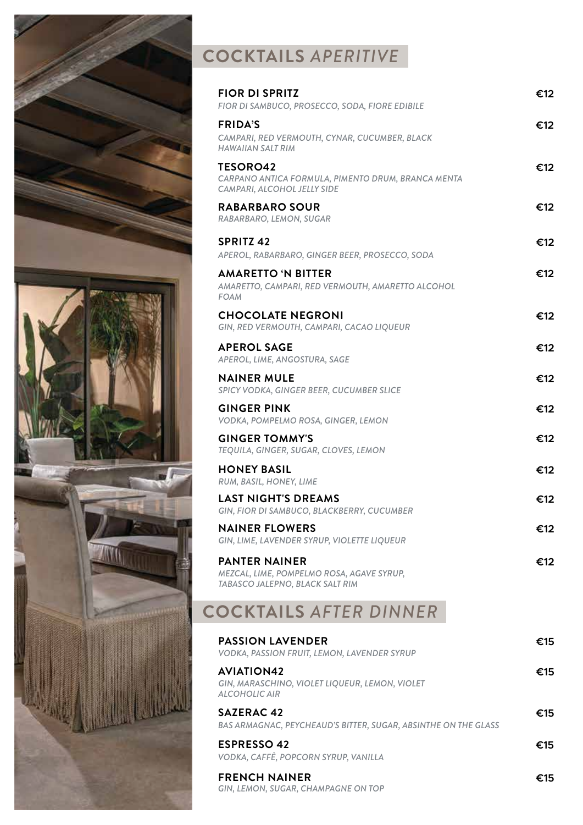

# **COCKTAILS** *APERITIVE*

| <b>FIOR DI SPRITZ</b><br>FIOR DI SAMBUCO, PROSECCO, SODA, FIORE EDIBILE                              | €12 |
|------------------------------------------------------------------------------------------------------|-----|
| <b>FRIDA'S</b><br>CAMPARI, RED VERMOUTH, CYNAR, CUCUMBER, BLACK<br><b>HAWAIIAN SALT RIM</b>          | €12 |
| <b>TESORO42</b><br>CARPANO ANTICA FORMULA, PIMENTO DRUM, BRANCA MENTA<br>CAMPARI, ALCOHOL JELLY SIDE | €12 |
| <b>RABARBARO SOUR</b><br>RABARBARO, LEMON, SUGAR                                                     | €12 |
| <b>SPRITZ 42</b><br>APEROL, RABARBARO, GINGER BEER, PROSECCO, SODA                                   | €12 |
| <b>AMARETTO 'N BITTER</b><br>AMARETTO, CAMPARI, RED VERMOUTH, AMARETTO ALCOHOL<br><b>FOAM</b>        | €12 |
| <b>CHOCOLATE NEGRONI</b><br>GIN, RED VERMOUTH, CAMPARI, CACAO LIQUEUR                                | €12 |
| <b>APEROL SAGE</b><br>APEROL, LIME, ANGOSTURA, SAGE                                                  | €12 |
| <b>NAINER MULE</b><br>SPICY VODKA, GINGER BEER, CUCUMBER SLICE                                       | €12 |
| <b>GINGER PINK</b><br>VODKA, POMPELMO ROSA, GINGER, LEMON                                            | €12 |
| <b>GINGER TOMMY'S</b><br>TEQUILA, GINGER, SUGAR, CLOVES, LEMON                                       | €12 |
| <b>HONEY BASIL</b><br>RUM, BASIL, HONEY, LIME                                                        | €12 |
| <b>LAST NIGHT'S DREAMS</b><br>GIN, FIOR DI SAMBUCO, BLACKBERRY, CUCUMBER                             | €12 |
| <b>NAINER FLOWERS</b><br>GIN, LIME, LAVENDER SYRUP, VIOLETTE LIQUEUR                                 | €12 |
| <b>PANTER NAINER</b><br>MEZCAL, LIME, POMPELMO ROSA, AGAVE SYRUP,<br>TABASCO JALEPNO, BLACK SALT RIM | €12 |
| <b>COCKTAILS AFTER DINNER</b>                                                                        |     |
| <b>PASSION LAVENDER</b><br>VODKA, PASSION FRUIT, LEMON, LAVENDER SYRUP                               | €15 |
| <b>AVIATION42</b><br>GIN, MARASCHINO, VIOLET LIQUEUR, LEMON, VIOLET<br><b>ALCOHOLIC AIR</b>          | €15 |
| <b>SAZERAC 42</b><br>BAS ARMAGNAC, PEYCHEAUD'S BITTER, SUGAR, ABSINTHE ON THE GLASS                  | €15 |
| <b>ESPRESSO 42</b><br>VODKA, CAFFÈ, POPCORN SYRUP, VANILLA                                           | €15 |
| <b>FRENCH NAINER</b><br>GIN, LEMON, SUGAR, CHAMPAGNE ON TOP                                          | €15 |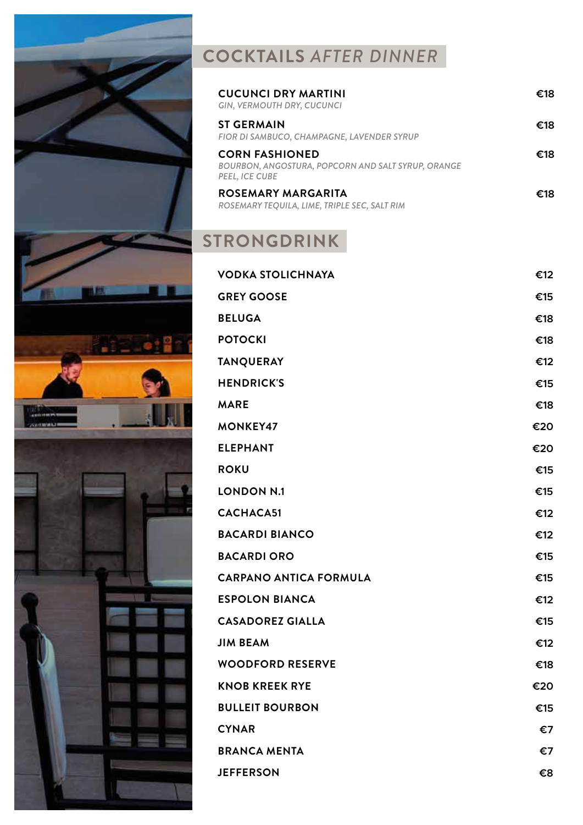

# **COCKTAILS** *AFTER DINNER*

| <b>CUCUNCI DRY MARTINI</b><br>GIN, VERMOUTH DRY, CUCUNCI                                      | €18 |
|-----------------------------------------------------------------------------------------------|-----|
| <b>ST GERMAIN</b><br>FIOR DI SAMBUCO, CHAMPAGNE, LAVENDER SYRUP                               | €18 |
| <b>CORN FASHIONED</b><br>BOURBON, ANGOSTURA, POPCORN AND SALT SYRUP, ORANGE<br>PEEL, ICE CUBE | €18 |
| ROSEMARY MARGARITA<br>ROSEMARY TEQUILA, LIME, TRIPLE SEC, SALT RIM                            | €18 |

# **STRONGDRINK**

| <b>VODKA STOLICHNAYA</b>      | €12 |
|-------------------------------|-----|
| <b>GREY GOOSE</b>             | €15 |
| <b>BELUGA</b>                 | €18 |
| <b>POTOCKI</b>                | €18 |
| <b>TANQUERAY</b>              | €12 |
| <b>HENDRICK'S</b>             | €15 |
| <b>MARE</b>                   | €18 |
| <b>MONKEY47</b>               | €20 |
| <b>ELEPHANT</b>               | €20 |
| <b>ROKU</b>                   | €15 |
| <b>LONDON N.1</b>             | €15 |
| CACHACA51                     | €12 |
| <b>BACARDI BIANCO</b>         | €12 |
| <b>BACARDI ORO</b>            | €15 |
| <b>CARPANO ANTICA FORMULA</b> | €15 |
| <b>ESPOLON BIANCA</b>         | €12 |
| <b>CASADOREZ GIALLA</b>       | €15 |
| <b>JIM BEAM</b>               | €12 |
| <b>WOODFORD RESERVE</b>       | €18 |
| <b>KNOB KREEK RYE</b>         | €20 |
| <b>BULLEIT BOURBON</b>        | €15 |
| <b>CYNAR</b>                  | €7  |
| <b>BRANCA MENTA</b>           | €7  |
| <b>JEFFERSON</b>              | €8  |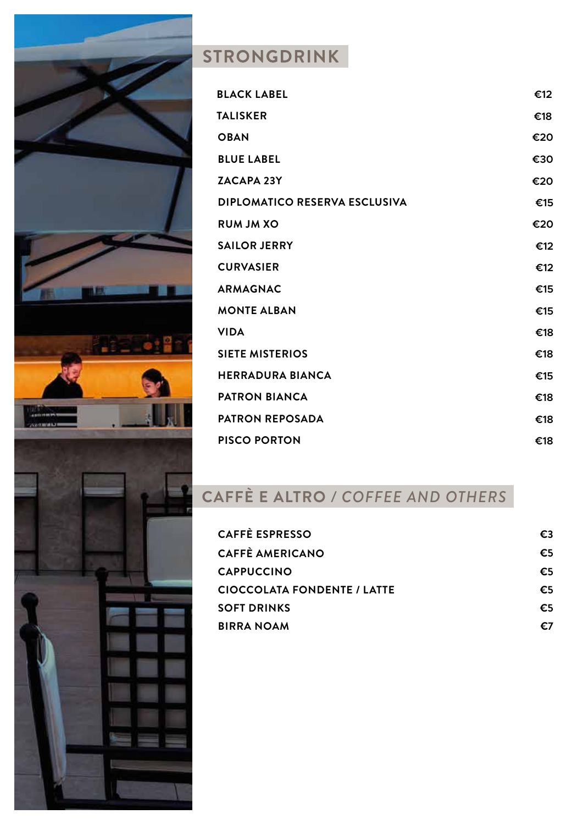

### STRONGDRINK

| <b>BLACK LABEL</b>                   | €12 |
|--------------------------------------|-----|
| <b>TALISKER</b>                      | €18 |
| <b>OBAN</b>                          | €20 |
| <b>BLUE LABEL</b>                    | €30 |
| <b>ZACAPA 23Y</b>                    | €20 |
| <b>DIPLOMATICO RESERVA ESCLUSIVA</b> | €15 |
| <b>RUM JM XO</b>                     | €20 |
| <b>SAILOR JERRY</b>                  | €12 |
| <b>CURVASIER</b>                     | €12 |
| <b>ARMAGNAC</b>                      | €15 |
| <b>MONTE ALBAN</b>                   | €15 |
| <b>VIDA</b>                          | €18 |
| <b>SIETE MISTERIOS</b>               | €18 |
| <b>HERRADURA BIANCA</b>              | €15 |
| <b>PATRON BIANCA</b>                 | €18 |
| <b>PATRON REPOSADA</b>               | €18 |
| <b>PISCO PORTON</b>                  | €18 |

# **CAFFÈ E ALTRO** */ COFFEE AND OTHERS*

| <b>CAFFÈ ESPRESSO</b>              | €3 |
|------------------------------------|----|
| <b>CAFFÈ AMERICANO</b>             | €5 |
| <b>CAPPUCCINO</b>                  | €5 |
| <b>CIOCCOLATA FONDENTE / LATTE</b> | €5 |
| <b>SOFT DRINKS</b>                 | €5 |
| <b>BIRRA NOAM</b>                  | €7 |